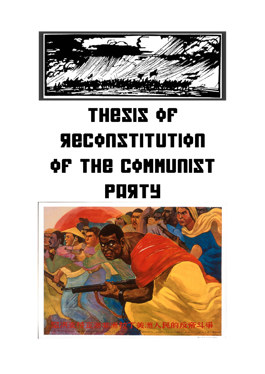

# **thesis of reconstitution of the communist party**

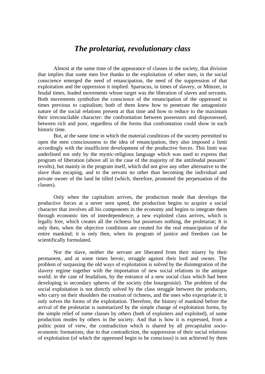## *The proletariat, revolutionary class*

Almost at the same time of the appearance of classes in the society, that division that implies that some men live thanks to the exploitation of other men, in the social conscience emerged the need of emancipation, the need of the suppression of that exploitation and the oppression it implied. Spartacus, in times of slavery, or Münzer, in feudal times, leaded movements whose target was the liberation of slaves and servants. Both movements symbolize the conscience of the emancipation of the oppressed in times previous to capitalism; both of them knew how to penetrate the antagonistic nature of the social relations present at that time and how to reduce to the maximum their irreconcilable character: the confrontation between possessors and dispossessed, between rich and poor, regardless of the forms that confrontation could show in each historic time.

But, at the same time in which the material conditions of the society permitted to open the men consciousness to the idea of emancipation, they also imposed a limit accordingly with the insufficient development of the productive forces. This limit was underlined not only by the mystic-religious language which was used to express that program of liberation (above all in the case of the majority of the antifeudal peasants' revolts), but mainly in the program itself, which did not give any other alternative to the slave than escaping, and to the servant no other than becoming the individual and private owner of the land he tilled (which, therefore, promoted the perpetuation of the classes).

Only when the capitalism arrives, the production mode that develops the productive forces at a never seen speed, the production begins to acquire a social character that involves all his components in the economy and begins to integrate them through economic ties of interdependence; a new exploited class arrives, which is legally free, which creates all the richness but possesses nothing, the proletariat; It is only then, when the objective conditions are created for the real emancipation of the entire mankind; it is only then, when its program of justice and freedom can be scientifically formulated.

Nor the slave, neither the servant are liberated from their misery by their permanent, and at some times heroic, struggle against their lord and owner. The problem of surpassing the old ways of exploitation is solved by the disintegration of the slavery regime together with the importation of new social relations in the antique world; in the case of feudalism, by the entrance of a new social class which had been developing in secondary spheres of the society (the bourgeoisie). The problem of the social exploitation is not directly solved by the class struggle between the producers, who carry on their shoulders the creation of richness, and the ones who expropriate it; it only solves the forms of the exploitation. Therefore, the history of mankind before the arrival of the proletariat is summarized by the simple change of exploitation forms, by the simple relief of some classes by others (both of exploiters and exploited), of some production modes by others in the society. And that is how it is expressed, from a politic point of view, the contradiction which is shared by all precapitalist socioeconomic formations; due to that contradiction, the suppression of their social relations of exploitation (of which the oppressed begin to be conscious) is not achieved by them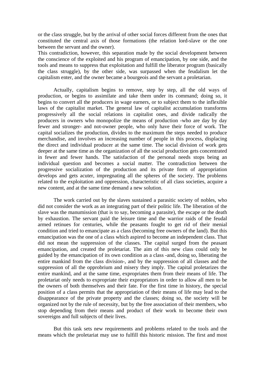or the class struggle, but by the arrival of other social forces different from the ones that constituted the central axis of those formations (the relation lord-slave or the one between the servant and the owner).

This contradiction, however, this separation made by the social development between the conscience of the exploited and his program of emancipation, by one side, and the tools and means to suppress that exploitation and fulfill the liberator program (basically the class struggle), by the other side, was surpassed when the feudalism let the capitalism enter, and the owner became a bourgeois and the servant a proletarian.

Actually, capitalism begins to remove, step by step, all the old ways of production, or begins to assimilate and take them under its command; doing so, it begins to convert all the producers in wage earners, or to subject them to the inflexible laws of the capitalist market. The general law of capitalist accumulation transforms progressively all the social relations in capitalist ones, and divide radically the producers in owners who monopolize the means of production -who are day by day fewer and stronger- and not-owner people, who only have their force of work. The capital socializes the production, divides to the maximum the steps needed to produce merchandise, and involves an increasing number of people in this process, displacing the direct and individual producer at the same time. The social division of work gets deeper at the same time as the organization of all the social production gets concentrated in fewer and fewer hands. The satisfaction of the personal needs stops being an individual question and becomes a social matter. The contradiction between the progressive socialization of the production and its private form of appropriation develops and gets acuter, impregnating all the spheres of the society. The problems related to the exploitation and oppression, characteristic of all class societies, acquire a new content, and at the same time demand a new solution.

The work carried out by the slaves sustained a parasitic society of nobles, who did not consider the work as an integrating part of their politic life. The liberation of the slave was the manumission (that is to say, becoming a parasite), the escape or the death by exhaustion. The servant paid the leisure time and the warrior raids of the feudal armed retinues for centuries, while the peasants fought to get rid of their menial condition and tried to emancipate as a class (becoming free owners of the land). But this emancipation was the one of a class which aspired to become an independent class. That did not mean the suppression of the classes. The capital surged from the peasant emancipation, and created the proletariat. The aim of this new class could only be guided by the emancipation of its own condition as a class -and, doing so, liberating the entire mankind from the class division-, and by the suppression of all classes and the suppression of all the opprobrium and misery they imply. The capital proletarizes the entire mankind, and at the same time, expropriates them from their means of life. The proletariat only needs to expropriate their expropriators in order to allow all men to be the owners of both themselves and their fate. For the first time in history, the special position of a class permits that the appropriation of their means of life may lead to the disappearance of the private property and the classes; doing so, the society will be organized not by the rule of necessity, but by the free association of their members, who stop depending from their means and product of their work to become their own sovereigns and full subjects of their lives.

But this task sets new requirements and problems related to the tools and the means which the proletariat may use to fulfill this historic mission. The first and most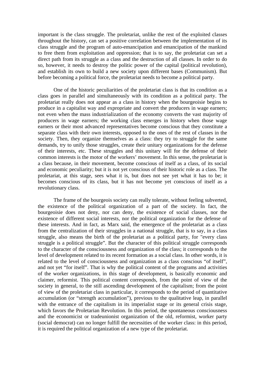important is the class struggle. The proletariat, unlike the rest of the exploited classes throughout the history, can set a positive correlation between the implementation of its class struggle and the program of auto-emancipation and emancipation of the mankind to free them from exploitation and oppression; that is to say, the proletariat can set a direct path from its struggle as a class and the destruction of all classes. In order to do so, however, it needs to destroy the politic power of the capital (political revolution), and establish its own to build a new society upon different bases (Communism). But before becoming a political force, the proletariat needs to become a political party.

One of the historic peculiarities of the proletariat class is that its condition as a class goes in parallel and simultaneously with its condition as a political party. The proletariat really does not appear as a class in history when the bourgeoisie begins to produce in a capitalist way and expropriate and convert the producers in wage earners; not even when the mass industrialization of the economy converts the vast majority of producers in wage earners; the working class emerges in history when those wage earners or their most advanced representatives become conscious that they constitute a separate class with their own interests, opposed to the ones of the rest of classes in the society. Then, they organize themselves as a class: they try to struggle for the same demands, try to unify those struggles, create their unitary organizations for the defense of their interests, etc. These struggles and this unitary will for the defense of their common interests is the motor of the workers' movement. In this sense, the proletariat is a class because, in their movement, become conscious of itself as a class, of its social and economic peculiarity; but it is not yet conscious of their historic role as a class. The proletariat, at this stage, sees what it is, but does not see yet what it has to be; it becomes conscious of its class, but it has not become yet conscious of itself as a revolutionary class.

The frame of the bourgeois society can really tolerate, without feeling subverted, the existence of the political organization of a part of the society. In fact, the bourgeoisie does not deny, nor can deny, the existence of social classes, nor the existence of different social interests, nor the political organization for the defense of these interests. And in fact, as Marx said, the emergence of the proletariat as a class from the centralization of their struggles in a national struggle, that is to say, in a class struggle, also means the birth of the proletariat as a political party, for "every class struggle is a political struggle". But the character of this political struggle corresponds to the character of the consciousness and organization of the class; it corresponds to the level of development related to its recent formation as a social class. In other words, it is related to the level of consciousness and organization as a class conscious "of itself", and not yet "for itself". That is why the political content of the programs and activities of the worker organizations, in this stage of development, is basically economic and claimer, reformist. This political content corresponds, from the point of view of the society in general, to the still ascending development of the capitalism; from the point of view of the proletariat class in particular, it corresponds to the period of quantitative accumulation (or "strength accumulation"), previous to the qualitative leap, in parallel with the entrance of the capitalism in its imperialist stage or its general crisis stage, which favors the Proletarian Revolution. In this period, the spontaneous consciousness and the economicist or tradeunionist organization of the old, reformist, worker party (social democrat) can no longer fulfill the necessities of the worker class: in this period, it is required the political organization of a new type of the proletariat.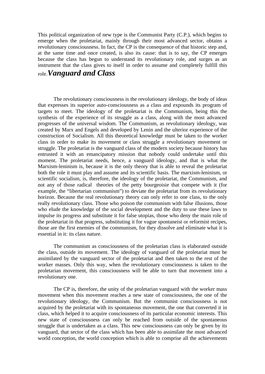This political organization of new type is the Communist Party (C.P.), which begins to emerge when the proletariat, mainly through their most advanced sector, obtains a revolutionary consciousness. In fact, the CP is the consequence of that historic step and, at the same time and once created, is also its cause: that is to say, the CP emerges because the class has begun to understand its revolutionary role, and surges as an instrument that the class gives to itself in order to assume and completely fulfill this role.*Vanguard and Class* 

 The revolutionary consciousness is the revolutionary ideology, the body of ideas that expresses its superior auto-consciousness as a class and expounds its program of targets to meet. The ideology of the proletariat is the Communism, being this the synthesis of the experience of its struggle as a class, along with the most advanced progresses of the universal wisdom. The Communism, as revolutionary ideology, was created by Marx and Engels and developed by Lenin and the ulterior experience of the construction of Socialism. All this theoretical knowledge must be taken to the worker class in order to make its movement or class struggle a revolutionary movement or struggle. The proletariat is the vanguard class of the modern society because history has entrusted it with an emancipatory mission that nobody could undertake until this moment. The proletariat needs, hence, a vanguard ideology, and that is what the Marxism-leninism is, because it is the only theory that is able to reveal the proletariat both the role it must play and assume and its scientific basis. The marxism-leninism, or scientific socialism, is, therefore, the ideology of the proletariat, the Communism, and not any of those radical theories of the petty bourgeoisie that compete with it (for example, the "libertarian communism") to deviate the proletariat from its revolutionary horizon. Because the real revolutionary theory can only refer to one class, to the only really revolutionary class. Those who poison the communism with false illusions, those who elude the knowledge of the social development and the duty to use these laws to impulse its progress and substitute it for false utopias, those who deny the main role of the proletariat in that progress, substituting it for vague spontaneist or reformist recipes, those are the first enemies of the communism, for they dissolve and eliminate what it is essential in it: its class nature.

 The communism as consciousness of the proletarian class is elaborated outside the class, outside its movement. The ideology of vanguard of the proletariat must be assimilated by the vanguard sector of the proletariat and then taken to the rest of the worker masses. Only this way, when the revolutionary consciousness is taken to the proletarian movement, this consciousness will be able to turn that movement into a revolutionary one.

 The CP is, therefore, the unity of the proletarian vanguard with the worker mass movement when this movement reaches a new state of consciousness, the one of the revolutionary ideology, the Communism. But the communist consciousness is not acquired by the proletariat with its spontaneous movement, the one that converted it in class, which helped it to acquire consciousness of its particular economic interests. This new state of consciousness can only be reached from outside of the spontaneous struggle that is undertaken as a class. This new consciousness can only be given by its vanguard, that sector of the class which has been able to assimilate the most advanced world conception, the world conception which is able to comprise all the achievements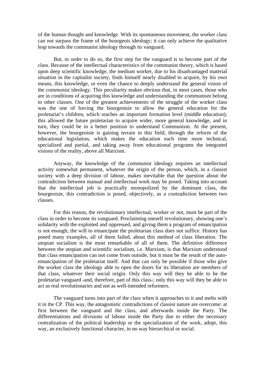of the human thought and knowledge. With its spontaneous movement, the worker class can not surpass the frame of the bourgeois ideology; it can only achieve the qualitative leap towards the communist ideology through its vanguard.

 But, in order to do so, the first step for the vanguard is to become part of the class. Because of the intellectual characteristics of the communist theory, which is based upon deep scientific knowledge, the medium worker, due to his disadvantaged material situation in the capitalist society, finds himself nearly disabled to acquire, by his own means, this knowledge, or even the chance to deeply understand the general vision of the communist ideology. This peculiarity makes obvious that, in most cases, those who are in conditions of acquiring this knowledge and understanding the communism belong to other classes. One of the greatest achievements of the struggle of the worker class was the one of forcing the bourgeoisie to allow the general education for the proletariat's children, which reaches an important formation level (middle education); this allowed the future proletarian to acquire wider, more general knowledge, and in turn, they could be in a better position to understand Communism. At the present, however, the bourgeoisie is gaining terrain in this field, through the reform of the educational legislation, which makes the education each time more technical, specialized and partial, and taking away from educational programs the integrated visions of the reality, above all Marxism.

 Anyway, the knowledge of the communist ideology requires an intellectual activity somewhat permanent, whatever the origin of the person, which, in a classist society with a deep division of labour, makes inevitable that the question about the contradiction between manual and intellectual work may be posed. Taking into account that the intellectual job is practically monopolized by the dominant class, the bourgeoisie, this contradiction is posed, objectively, as a contradiction between two classes.

 For this reason, the revolutionary intellectual, worker or not, must be part of the class in order to become its vanguard. Proclaiming oneself revolutionary, showing one's solidarity with the exploited and oppressed, and giving them a program of emancipation is not enough; the will to emancipate the proletarian class does not suffice. History has posed many examples, all of them failed, about this method of class liberation. The utopian socialism is the most remarkable of all of them. The definitive difference between the utopian and scientific socialism, i.e. Marxism, is that Marxism understood that class emancipation can not come from outside, but it must be the result of the autoemancipation of the proletariat itself. And that can only be possible if those who give the worker class the ideology able to open the doors for its liberation are members of that class, whatever their social origin. Only this way will they be able to be the proletariat vanguard **-**and, therefore, part of this class-; only this way will they be able to act as real revolutionaries and not as well-intended reformers.

 The vanguard turns into part of the class when it approaches to it and melts with it in the CP. This way, the antagonistic contradictions of classist nature are overcome: at first between the vanguard and the class, and afterwards inside the Party. The differentiations and divisions of labour inside the Party due to either the necessary centralization of the political leadership or the specialization of the work, adopt, this way, an exclusively functional character, in no way hierarchical or social.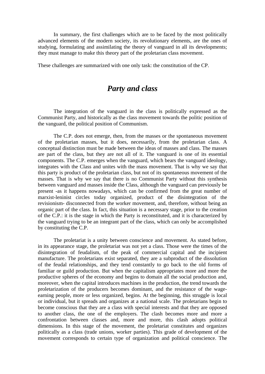In summary, the first challenges which are to be faced by the most politically advanced elements of the modern society, its revolutionary elements, are the ones of studying, formulating and assimilating the theory of vanguard in all its developments; they must manage to make this theory part of the proletarian class movement.

These challenges are summarized with one only task: the constitution of the CP.

## *Party and class*

 The integration of the vanguard in the class is politically expressed as the Communist Party, and historically as the class movement towards the politic position of the vanguard, the political position of Communism.

 The C.P. does not emerge, then, from the masses or the spontaneous movement of the proletarian masses, but it does, necessarily, from the proletarian class. A conceptual distinction must be made between the ideas of masses and class. The masses are part of the class, but they are not all of it. The vanguard is one of its essential components. The C.P. emerges when the vanguard, which bears the vanguard ideology, integrates with the Class and unites with the mass movement. That is why we say that this party is product of the proletarian class, but not of its spontaneous movement of the masses. That is why we say that there is no Communist Party without this synthesis between vanguard and masses inside the Class, although the vanguard can previously be present -as it happens nowadays, which can be confirmed from the great number of marxist-leninist circles today organized, product of the disintegration of the revisionism- disconnected from the worker movement, and, therefore, without being an organic part of the class. In fact, this situation is a necessary stage, prior to the creation of the C.P.: it is the stage in which the Party is reconstituted, and it is characterized by the vanguard trying to be an integrant part of the class, which can only be accomplished by constituting the C.P.

 The proletariat is a unity between conscience and movement. As stated before, in its appearance stage, the proletariat was not yet a class. Those were the times of the disintegration of feudalism, of the peak of commercial capital and the incipient manufacture. The proletarians exist separated, they are a subproduct of the dissolution of the feudal relationships, and they tend constantly to go back to the old forms of familiar or guild production. But when the capitalism appropriates more and more the productive spheres of the economy and begins to domain all the social production and, moreover, when the capital introduces machines in the production, the trend towards the proletarization of the producers becomes dominant, and the resistance of the wageearning people, more or less organized, begins. At the beginning, this struggle is local or individual, but it spreads and organizes at a national scale. The proletarians begin to become conscious that they are a class with special interests and that they are opposed to another class, the one of the employers. The clash becomes more and more a confrontation between classes and, more and more, this clash adopts political dimensions. In this stage of the movement, the proletariat constitutes and organizes politically as a class (trade unions, worker parties). This grade of development of the movement corresponds to certain type of organization and political conscience. The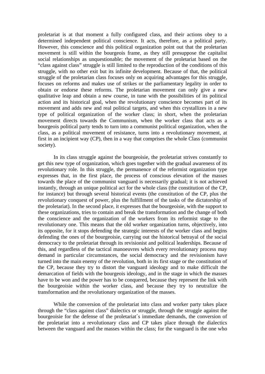proletariat is at that moment a fully configured class, and their actions obey to a determined independent political conscience. It acts, therefore, as a political party. However, this conscience and this political organization point out that the proletarian movement is still within the bourgeois frame, as they still presuppose the capitalist social relationships as unquestionable; the movement of the proletariat based on the "class against class" struggle is still limited to the reproduction of the conditions of this struggle, with no other exit but its infinite development. Because of that, the political struggle of the proletarian class focuses only on acquiring advantages for this struggle, focuses on reforms and makes use of strikes or the parliamentary legality in order to obtain or endorse these reforms. The proletarian movement can only give a new qualitative leap and obtain a new course, in tune with the possibilities of its political action and its historical goal, when the revolutionary conscience becomes part of its movement and adds new and real political targets, and when this crystallizes in a new type of political organization of the worker class; in short, when the proletarian movement directs towards the Communism, when the worker class that acts as a bourgeois political party tends to turn into a communist political organization, when the class, as a political movement of resistance, turns into a revolutionary movement, at first in an incipient way (CP), then in a way that comprises the whole Class (communist society).

 In its class struggle against the bourgeoisie, the proletariat strives constantly to get this new type of organization, which goes together with the gradual awareness of its revolutionary role. In this struggle, the permanence of the reformist organization type expresses that, in the first place, the process of conscious elevation of the masses towards the place of the communist vanguard is necessarily gradual; it is not achieved instantly, through an unique political act for the whole class (the constitution of the CP, for instance) but through several historical events (the constitution of the CP, plus the revolutionary conquest of power, plus the fulfillment of the tasks of the dictatorship of the proletariat). In the second place, it expresses that the bourgeoisie, with the support to these organizations, tries to contain and break the transformation and the change of both the conscience and the organization of the workers from its reformist stage to the revolutionary one. This means that the old worker organization turns, objectively, into its opposite, for it stops defending the strategic interests of the worker class and begins defending the ones of the bourgeoisie, carrying out the historical betrayal of the social democracy to the proletariat through its revisionist and political leaderships. Because of this, and regardless of the tactical manoeuvres which every revolutionary process may demand in particular circumstances, the social democracy and the revisionism have turned into the main enemy of the revolution, both in its first stage or the constitution of the CP, because they try to distort the vanguard ideology and to make difficult the demarcation of fields with the bourgeois ideology, and in the stage in which the masses have to be won and the power has to be conquered, because they represent the link with the bourgeoisie within the worker class, and because they try to neutralize the transformation and the revolutionary organization of the masses.

 While the conversion of the proletariat into class and worker party takes place through the "class against class" dialectics or struggle, through the struggle against the bourgeoisie for the defense of the proletariat´s immediate demands, the conversion of the proletariat into a revolutionary class and CP takes place through the dialectics between the vanguard and the masses within the class; for the vanguard is the one who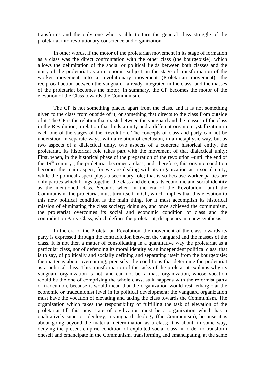transforms and the only one who is able to turn the general class struggle of the proletariat into revolutionary conscience and organization.

 In other words, if the motor of the proletarian movement in its stage of formation as a class was the direct confrontation with the other class (the bourgeoisie), which allows the delimitation of the social or political fields between both classes and the unity of the proletariat as an economic subject, in the stage of transformation of the worker movement into a revolutionary movement (Proletarian movement), the reciprocal action between the vanguard –already integrated in the class- and the masses of the proletariat becomes the motor; in summary, the CP becomes the motor of the elevation of the Class towards the Communism.

 The CP is not something placed apart from the class, and it is not something given to the class from outside of it, or something that directs to the class from outside of it. The CP is the relation that exists between the vanguard and the masses of the class in the Revolution, a relation that finds a unity and a different organic crystallization in each one of the stages of the Revolution. The concepts of class and party can not be understood in separate ways, with a relation of exclusion, in a metaphysic way, but as two aspects of a dialectical unity, two aspects of a concrete historical entity, the proletariat. Its historical role takes part with the movement of that dialectical unity: First, when, in the historical phase of the preparation of the revolution –until the end of the  $19<sup>th</sup>$  century-, the proletariat becomes a class, and, therefore, this organic condition becomes the main aspect, for we are dealing with its organization as a social unity, while the political aspect plays a secondary role; that is so because worker parties are only parties which brings together the class and defends its economic and social identity as the mentioned class. Second, when in the era of the Revolution –until the Communism- the proletariat must turn itself in CP, which implies that this elevation to this new political condition is the main thing, for it must accomplish its historical mission of eliminating the class society; doing so, and once achieved the communism, the proletariat overcomes its social and economic condition of class and the contradiction Party-Class, which defines the proletariat, disappears in a new synthesis.

 In the era of the Proletarian Revolution, the movement of the class towards its party is expressed through the contradiction between the vanguard and the masses of the class. It is not then a matter of consolidating in a quantitative way the proletariat as a particular class, nor of defending its moral identity as an independent political class, that is to say, of politically and socially defining and separating itself from the bourgeoisie; the matter is about overcoming, precisely, the conditions that determine the proletariat as a political class. This transformation of the tasks of the proletariat explains why its vanguard organization is not, and can not be, a mass organization, whose vocation would be the one of comprising the whole class, as it happens with the reformist party or tradeunion, because it would mean that the organization would rest lethargic at the economic or tradeunionist level in its political development; the vanguard organization must have the vocation of elevating and taking the class towards the Communism. The organization which takes the responsibility of fulfilling the task of elevation of the proletariat till this new state of civilization must be a organization which has a qualitatively superior ideology, a vanguard ideology (the Communism), because it is about going beyond the material determination as a class; it is about, in some way, denying the present empiric condition of exploited social class, in order to transform oneself and emancipate in the Communism, transforming and emancipating, at the same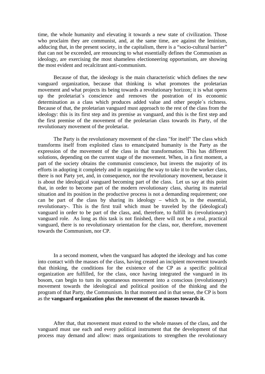time, the whole humanity and elevating it towards a new state of civilization. Those who proclaim they are communist, and, at the same time, are against the leninism, adducing that, in the present society, in the capitalism, there is a "socio-cultural barrier" that can not be exceeded, are renouncing to what essentially defines the Communism as ideology, are exercising the most shameless electioneering opportunism, are showing the most evident and recalcitrant anti-communism.

 Because of that, the ideology is the main characteristic which defines the new vanguard organization, because that thinking is what promotes the proletarian movement and what projects its being towards a revolutionary horizon; it is what opens up the proletariat´s conscience and removes the postration of its economic determination as a class which produces added value and other people´s richness. Because of that, the proletarian vanguard must approach to the rest of the class from the ideology: this is its first step and its premise as vanguard, and this is the first step and the first premise of the movement of the proletarian class towards its Party, of the revolutionary movement of the proletariat.

 The Party is the revolutionary movement of the class "for itself" The class which transforms itself from exploited class to emancipated humanity is the Party as the expression of the movement of the class in that transformation. This has different solutions, depending on the current stage of the movement. When, in a first moment, a part of the society obtains the communist conscience, but invests the majority of its efforts in adopting it completely and in organizing the way to take it to the worker class, there is not Party yet, and, in consequence, nor the revolutionary movement, because it is about the ideological vanguard becoming part of the class. Let us say at this point that, in order to become part of the modern revolutionary class, sharing its material situation and its position in the productive process is not a demanding requirement; one can be part of the class by sharing its ideology – which is, in the essential, revolutionary-. This is the first trail which must be traveled by the (ideological) vanguard in order to be part of the class, and, therefore, to fulfill its (revolutionary) vanguard role. As long as this task is not finished, there will not be a real, practical vanguard, there is no revolutionary orientation for the class, nor, therefore, movement towards the Communism, nor CP.

 In a second moment, when the vanguard has adopted the ideology and has come into contact with the masses of the class, having created an incipient movement towards that thinking, the conditions for the existence of the CP as a specific political organization are fulfilled, for the class, once having integrated the vanguard in its bosom, can begin to turn its spontaneous movement into a conscious (revolutionary) movement towards the ideological and political position of the thinking and the program of that Party, the Communism. In that moment and in that sense, the CP is born as the **vanguard organization plus the movement of the masses towards it.**

 After that, that movement must extend to the whole masses of the class, and the vanguard must use each and every political instrument that the development of that process may demand and allow: mass organizations to strengthen the revolutionary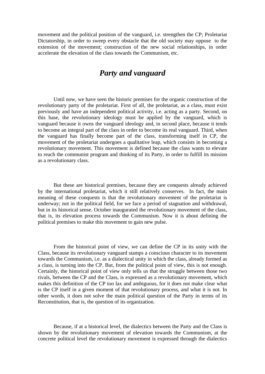movement and the political position of the vanguard, i.e. strengthen the CP; Proletariat Dictatorship, in order to sweep every obstacle that the old society may oppose to the extension of the movement; construction of the new social relationships, in order accelerate the elevation of the class towards the Communism, etc.

## *Party and vanguard*

 Until now, we have seen the historic premises for the organic construction of the revolutionary party of the proletariat. First of all, the proletariat, as a class, must exist previously and have an independent political activity, i.e. acting as a party. Second, on this base, the revolutionary ideology must be applied by the vanguard, which is vanguard because it owns the vanguard ideology and, in second place, because it tends to become an integral part of the class in order to become its real vanguard. Third, when the vanguard has finally become part of the class, transforming itself in CP, the movement of the proletariat undergoes a qualitative leap, which consists in becoming a revolutionary movement. This movement is defined because the class wants to elevate to reach the communist program and thinking of its Party, in order to fulfill its mission as a revolutionary class.

 But these are historical premises, because they are conquests already achieved by the international proletariat, which it still relatively conserves. In fact, the main meaning of these conquests is that the revolutionary movement of the proletariat is underway; not in the political field, for we face a period of stagnation and withdrawal, but in its historical sense. October inaugurated the revolutionary movement of the class, that is, its elevation process towards the Communism. Now it is about defining the political premises to make this movement to gain new pulse.

 From the historical point of view, we can define the CP in its unity with the Class, because its revolutionary vanguard stamps a conscious character to its movement towards the Communism, i.e. as a dialectical unity in which the class, already formed as a class, is turning into the CP. But, from the political point of view, this is not enough. Certainly, the historical point of view only tells us that the struggle between those two rivals, between the CP and the Class, is expressed as a revolutionary movement, which makes this definition of the CP too lax and ambiguous, for it does not make clear what is the CP itself in a given moment of that revolutionary process, and what it is not. In other words, it does not solve the main political question of the Party in terms of its Reconstitution, that is, the question of its organization.

 Because, if at a historical level, the dialectics between the Party and the Class is shown by the revolutionary movement of elevation towards the Communism, at the concrete political level the revolutionary movement is expressed through the dialectics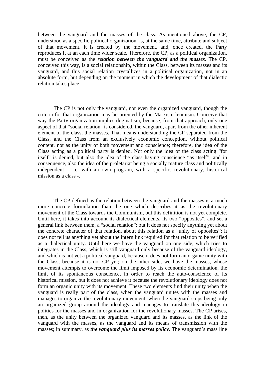between the vanguard and the masses of the class. As mentioned above, the CP, understood as a specific political organization, is, at the same time, attribute and subject of that movement. it is created by the movement, and, once created, the Party reproduces it at an each time wider scale. Therefore, the CP, as a political organization, must be conceived as the *relation between the vanguard and the masses.* The CP, conceived this way, is a social relationship, within the Class, between its masses and its vanguard, and this social relation crystallizes in a political organization, not in an absolute form, but depending on the moment in which the development of that dialectic relation takes place.

 The CP is not only the vanguard, nor even the organized vanguard, though the criteria for that organization may be oriented by the Marxism-leninism. Conceive that way the Party organization implies dogmatism, because, from that approach, only one aspect of that "social relation" is considered, the vanguard, apart from the other inherent element of the class, the masses. That means understanding the CP separated from the Class, and the Class from an exclusively economic conception, without political content, not as the unity of both movement and conscience; therefore, the idea of the Class acting as a political party is denied. Not only the idea of the class acting "for itself" is denied, but also the idea of the class having conscience "as itself", and in consequence, also the idea of the proletariat being a socially mature class and politically independent – i.e. with an own program, with a specific, revolutionary, historical mission as a class -.

 The CP defined as the relation between the vanguard and the masses is a much more concrete formulation than the one which describes it as the revolutionary movement of the Class towards the Communism, but this definition is not yet complete. Until here, it takes into account its dialectical elements, its two "opposites", and set a general link between them, a "social relation"; but it does not specify anything yet about the concrete character of that relation, about this relation as a "unity of opposites"; it does not tell us anything yet about the intern link required for that relation to be verified as a dialectical unity. Until here we have the vanguard on one side, which tries to integrates in the Class, which is still vanguard only because of the vanguard ideology, and which is not yet a political vanguard, because it does not form an organic unity with the Class, because it is not CP yet; on the other side, we have the masses, whose movement attempts to overcome the limit imposed by its economic determination, the limit of its spontaneous conscience, in order to reach the auto-conscience of its historical mission, but it does not achieve it because the revolutionary ideology does not form an organic unity with its movement. These two elements find their unity when the vanguard is really part of the class, when the vanguard unites with the masses and manages to organize the revolutionary movement, when the vanguard stops being only an organized group around the ideology and manages to translate this ideology in politics for the masses and in organization for the revolutionary masses. The CP arises, then, as the unity between the organized vanguard and its masses, as the link of the vanguard with the masses, as the vanguard and its means of transmission with the masses; in summary, as *the vanguard plus its masses policy*. The vanguard's mass line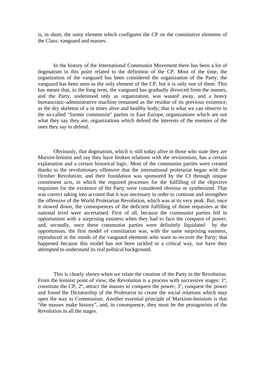is, in short, the unity element which configures the CP on the constitutive elements of the Class: vanguard and masses.

 In the history of the International Communist Movement there has been a lot of dogmatism in this point related to the definition of the CP. Most of the time, the organization of the vanguard has been considered the organization of the Party; the vanguard has been seen as the only element of the CP, but it is only one of them. This has meant that, in the long term, the vanguard has gradually divorced from the masses, and the Party, understood only as organization, was wasted away, and a heavy bureaucratic-administrative machine remained as the residue of its previous existence, as the dry skeleton of a in times alive and healthy body; that is what we can observe in the so-called "former communist" parties in East Europe, organizations which are not what they say they are, organizations which defend the interests of the enemies of the ones they say to defend.

 Obviously, that dogmatism, which is still today alive in those who state they are Marxist-leninist and say they have broken relations with the revisionism, has a certain explanation and a certain historical logic. Most of the communist parties were created thanks to the revolutionary offensive that the international proletariat began with the October Revolution, and their foundation was sponsored by the CI through unique constituent acts, in which the required processes for the fulfilling of the objective requisites for the existence of the Party were considered obvious or synthesized. That was correct taking into account that it was necessary in order to continue and strengthen the offensive of the World Proletarian Revolution, which was at its very peak. But, once it slowed down, the consequences of the deficient fulfilling of those requisites at the national level were ascertained. First of all, because the communist parties fell in opportunism with a surprising easiness when they had to face the conquest of power; and, secondly, once these communist parties were definitely liquidated by the opportunism, the first model of constitution was, with the same surprising easiness, reproduced in the minds of the vanguard elements who want to recover the Party; that happened because this model has not been tackled in a critical way, nor have they attempted to understand its real political background.

 This is clearly shown when we relate the creation of the Party in the Revolution. From the leninist point of view, the Revolution is a process with successive stages: 1º, constitute the CP;  $2^\circ$ , attract the masses to conquest the power;  $3^\circ$ , conquest the power and found the Dictatorship of the Proletariat to create the social relations which may open the way to Communism. Another essential principle of Marxism-leninism is that "the masses make history", and, in consequence, they must be the protagonists of the Revolution in all the stages.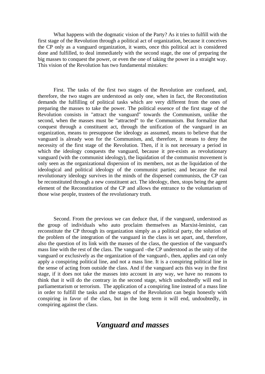What happens with the dogmatic vision of the Party? As it tries to fulfill with the first stage of the Revolution through a political act of organization, because it conceives the CP only as a vanguard organization, it wants, once this political act is considered done and fulfilled, to deal immediately with the second stage, the one of preparing the big masses to conquest the power, or even the one of taking the power in a straight way. This vision of the Revolution has two fundamental mistakes:

 First. The tasks of the first two stages of the Revolution are confused, and, therefore, the two stages are understood as only one, when in fact, the Reconstitution demands the fulfilling of political tasks which are very different from the ones of preparing the masses to take the power. The political essence of the first stage of the Revolution consists in "attract the vanguard" towards the Communism, unlike the second, when the masses must be "attracted" to the Communism. But formalize that conquest through a constituent act, through the unification of the vanguard in an organization, means to presuppose the ideology as assumed, means to believe that the vanguard is already won for the Communism, and, therefore, it means to deny the necessity of the first stage of the Revolution. Then, if it is not necessary a period in which the ideology conquests the vanguard, because it pre-exists as revolutionary vanguard (with the communist ideology), the liquidation of the communist movement is only seen as the organizational dispersion of its members, not as the liquidation of the ideological and political ideology of the communist parties; and because the real revolutionary ideology survives in the minds of the dispersed communists, the CP can be reconstituted through a new constituent act. The ideology, then, stops being the agent element of the Reconstitution of the CP and allows the entrance to the voluntarism of those wise people, trustees of the revolutionary truth.

 Second. From the previous we can deduce that, if the vanguard, understood as the group of individuals who auto proclaim themselves as Marxist-leninist, can reconstitute the CP through its organization simply as a political party, the solution of the problem of the integration of the vanguard in the class is set apart, and, therefore, also the question of its link with the masses of the class, the question of the vanguard's mass line with the rest of the class. The vanguard –the CP understood as the unity of the vanguard or exclusively as the organization of the vanguard-, then, applies and can only apply a conspiring political line, and not a mass line. It is a conspiring political line in the sense of acting from outside the class. And if the vanguard acts this way in the first stage, if it does not take the masses into account in any way, we have no reasons to think that it will do the contrary in the second stage, which undoubtedly will end in parliamentarism or terrorism. The application of a conspiring line instead of a mass line in order to fulfill the tasks and the stages of the Revolution can begin honestly with conspiring in favor of the class, but in the long term it will end, undoubtedly, in conspiring against the class.

## *Vanguard and masses*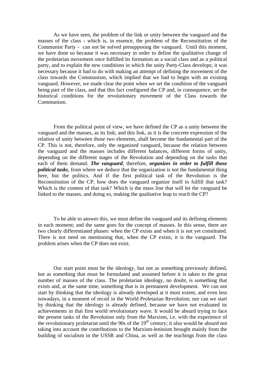As we have seen, the problem of the link or unity between the vanguard and the masses of the class - which is, in essence, the problem of the Reconstitution of the Communist Party - can not be solved presupposing the vanguard. Until this moment, we have done so because it was necessary in order to define the qualitative change of the proletarian movement once fulfilled its formation as a social class and as a political party, and to explain the new conditions in which the unity Party-Class develops; it was necessary because it had to do with making an attempt of defining the movement of the class towards the Communism, which implied that we had to begin with an existing vanguard. However, we made clear the point when we set the condition of the vanguard being part of the class, and that this fact configured the CP and, in consequence, set the historical conditions for the revolutionary movement of the Class towards the Communism.

 From the political point of view, we have defined the CP as a unity between the vanguard and the masses, as its link; and this link, as it is the concrete expression of the relation of unity between those two elements, shall become the fundamental part of the CP. This is not, therefore, only the organized vanguard, because the relation between the vanguard and the masses includes different balances, different forms of unity, depending on the different stages of the Revolution and depending on the tasks that each of them demand. *The vanguard*, therefore, *organizes in order to fulfill those political tasks*, from where we deduce that the organization is not the fundamental thing here, but the politics. And if the first political task of the Revolution is the Reconstitution of the CP, how does the vanguard organize itself to fulfill that task? Which is the content of that task? Which is the mass line that will let the vanguard be linked to the masses, and doing so, making the qualitative leap to reach the CP?

 To be able to answer this, we must define the vanguard and its defining elements in each moment; and the same goes for the concept of masses. In this sense, there are two clearly differentiated phases: when the CP exists and when it is not yet constituted. There is not need on mentioning that, when the CP exists, it is the vanguard. The problem arises when the CP does not exist.

 Our start point must be the ideology, but not as something previously defined, but as something that must be formulated and assumed before it is taken to the great number of masses of the class. The proletarian ideology, no doubt, is something that exists and, at the same time, something that is in permanent development. We can not start by thinking that the ideology is already developed at it most extent, and even less nowadays, in a moment of recoil in the World Proletarian Revolution; nor can we start by thinking that the ideology is already defined, because we have not evaluated its achievements in that first world revolutionary wave. It would be absurd trying to face the present tasks of the Revolution only from the Marxism, i.e. with the experience of the revolutionary proletariat until the  $90s$  of the  $19<sup>th</sup>$  century; it also would be absurd not taking into account the contributions to the Marxism-leninism brought mainly from the building of socialism in the USSR and China, as well as the teachings from the class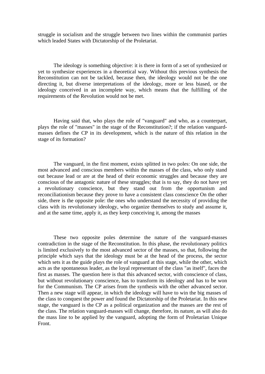struggle in socialism and the struggle between two lines within the communist parties which leaded States with Dictatorship of the Proletariat.

 The ideology is something objective: it is there in form of a set of synthesized or yet to synthesize experiences in a theoretical way. Without this previous synthesis the Reconstitution can not be tackled, because then, the ideology would not be the one directing it, but diverse interpretations of the ideology, more or less biased, or the ideology conceived in an incomplete way, which means that the fulfilling of the requirements of the Revolution would not be met.

 Having said that, who plays the role of "vanguard" and who, as a counterpart, plays the role of "masses" in the stage of the Reconstitution?; if the relation vanguardmasses defines the CP in its development, which is the nature of this relation in the stage of its formation?

 The vanguard, in the first moment, exists splitted in two poles: On one side, the most advanced and conscious members within the masses of the class, who only stand out because lead or are at the head of their economic struggles and because they are conscious of the antagonic nature of these struggles; that is to say, they do not have yet a revolutionary conscience, but they stand out from the opportunism and reconciliationism because they prove to have a consistent class conscience On the other side, there is the opposite pole: the ones who understand the necessity of providing the class with its revolutionary ideology, who organize themselves to study and assume it, and at the same time, apply it, as they keep conceiving it, among the masses

 These two opposite poles determine the nature of the vanguard-masses contradiction in the stage of the Reconstitution. In this phase, the revolutionary politics is limited exclusively to the most advanced sector of the masses, so that, following the principle which says that the ideology must be at the head of the process, the sector which sets it as the guide plays the role of vanguard at this stage, while the other, which acts as the spontaneous leader, as the loyal representant of the class "as itself", faces the first as masses. The question here is that this advanced sector, with conscience of class, but without revolutionary conscience, has to transform its ideology and has to be won for the Communism. The CP arises from the synthesis with the other advanced sector. Then a new stage will appear, in which the ideology will have to win the big masses of the class to conquest the power and found the Dictatorship of the Proletariat. In this new stage, the vanguard is the CP as a political organization and the masses are the rest of the class. The relation vanguard-masses will change, therefore, its nature, as will also do the mass line to be applied by the vanguard, adopting the form of Proletarian Unique Front.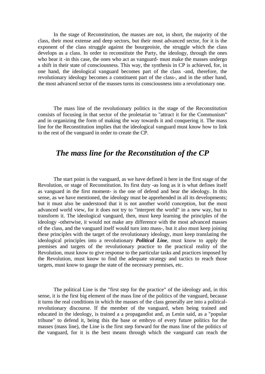In the stage of Reconstitution, the masses are not, in short, the majority of the class, their most extense and deep sectors, but their most advanced sector, for it is the exponent of the class struggle against the bourgeoisie, the struggle which the class develops as a class. In order to reconstitute the Party, the ideology, through the ones who bear it -in this case, the ones who act as vanguard- must make the masses undergo a shift in their state of consciousness. This way, the synthesis in CP is achieved, for, in one hand, the ideological vanguard becomes part of the class -and, therefore, the revolutionary ideology becomes a constituent part of the class-, and in the other hand, the most advanced sector of the masses turns its consciousness into a revolutionary one.

 The mass line of the revolutionary politics in the stage of the Reconstitution consists of focusing in that sector of the proletariat to "attract it for the Communism" and in organizing the form of making the way towards it and conquering it. The mass line for the Reconstitution implies that the ideological vanguard must know how to link to the rest of the vanguard in order to create the CP.

### *The mass line for the Reconstitution of the CP*

 The start point is the vanguard, as we have defined it here in the first stage of the Revolution, or stage of Reconstitution. Its first duty -as long as it is what defines itself as vanguard in the first moment- is the one of defend and bear the ideology. In this sense, as we have mentioned, the ideology must be apprehended in all its developments; but it must also be understood that it is not another world conception, but the most advanced world view, for it does not try to "interpret the world" in a new way, but to transform it. The ideological vanguard, then, must keep learning the principles of the ideology -otherwise, it would not make any difference with the most advanced masses of the class, and the vanguard itself would turn into mass-, but it also must keep joining these principles with the target of the revolutionary ideology, must keep translating the ideological principles into a revolutionary *Political Line*, must know to apply the premises and targets of the revolutionary practice to the practical reality of the Revolution, must know to give response to the particular tasks and practices imposed by the Revolution, must know to find the adequate strategy and tactics to reach those targets, must know to gauge the state of the necessary premises, etc.

 The political Line is the "first step for the practice" of the ideology and, in this sense, it is the first big element of the mass line of the politics of the vanguard, because it turns the real conditions in which the masses of the class generally are into a politicalrevolutionary discourse. If the member of the vanguard, when being trained and educated in the ideology, is trained a a propagandist and, as Lenin said, as a "popular tribune" to defend it, being this the base or embryo of every future politics for the masses (mass line), the Line is the first step forward for the mass line of the politics of the vanguard, for it is the best means through which the vanguard can reach the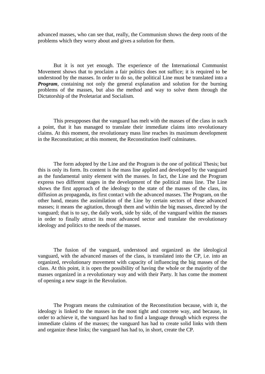advanced masses, who can see that, really, the Communism shows the deep roots of the problems which they worry about and gives a solution for them.

 But it is not yet enough. The experience of the International Communist Movement shows that to proclaim a fair politics does not suffice; it is required to be understood by the masses. In order to do so, the political Line must be translated into a *Program*, containing not only the general explanation and solution for the burning problems of the masses, but also the method and way to solve them through the Dictatorship of the Proletariat and Socialism.

 This presupposes that the vanguard has melt with the masses of the class in such a point, that it has managed to translate their immediate claims into revolutionary claims. At this moment, the revolutionary mass line reaches its maximum development in the Reconstitution; at this moment, the Reconstitution itself culminates.

 The form adopted by the Line and the Program is the one of political Thesis; but this is only its form. Its content is the mass line applied and developed by the vanguard as the fundamental unity element with the masses. In fact, the Line and the Program express two different stages in the development of the political mass line. The Line shows the first approach of the ideology to the state of the masses of the class, its diffusion as propaganda, its first contact with the advanced masses. The Program, on the other hand, means the assimilation of the Line by certain sectors of these advanced masses; it means the agitation, through them and within the big masses, directed by the vanguard; that is to say, the daily work, side by side, of the vanguard within the masses in order to finally attract its most advanced sector and translate the revolutionary ideology and politics to the needs of the masses.

 The fusion of the vanguard, understood and organized as the ideological vanguard, with the advanced masses of the class, is translated into the CP, i.e. into an organized, revolutionary movement with capacity of influencing the big masses of the class. At this point, it is open the possibility of having the whole or the majority of the masses organized in a revolutionary way and with their Party. It has come the moment of opening a new stage in the Revolution.

 The Program means the culmination of the Reconstitution because, with it, the ideology is linked to the masses in the most tight and concrete way, and because, in order to achieve it, the vanguard has had to find a language through which express the immediate claims of the masses; the vanguard has had to create solid links with them and organize these links; the vanguard has had to, in short, create the CP.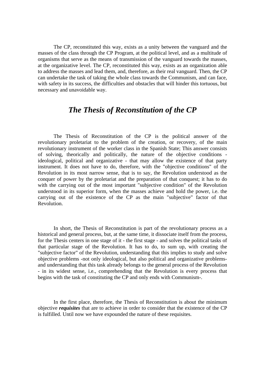The CP, reconstituted this way, exists as a unity between the vanguard and the masses of the class through the CP Program, at the political level, and as a multitude of organisms that serve as the means of transmission of the vanguard towards the masses, at the organizative level. The CP, reconstituted this way, exists as an organization able to address the masses and lead them, and, therefore, as their real vanguard. Then, the CP can undertake the task of taking the whole class towards the Communism, and can face, with safety in its success, the difficulties and obstacles that will hinder this tortuous, but necessary and unavoidable way.

## *The Thesis of Reconstitution of the CP*

 The Thesis of Reconstitution of the CP is the political answer of the revolutionary proletariat to the problem of the creation, or recovery, of the main revolutionary instrument of the worker class in the Spanish State; This answer consists of solving, theorically and politically, the nature of the objective conditions ideological, political and organizative - that may allow the existence of that party instrument. It does not have to do, therefore, with the "objective conditions" of the Revolution in its most narrow sense, that is to say, the Revolution understood as the conquer of power by the proletariat and the preparation of that conquest; it has to do with the carrying out of the most important "subjective condition" of the Revolution understood in its superior form, when the masses achieve and hold the power, i.e. the carrying out of the existence of the CP as the main "subjective" factor of that Revolution.

 In short, the Thesis of Reconstitution is part of the revolutionary process as a historical and general process, but, at the same time, it dissociate itself from the process, for the Thesis centers in one stage of it - the first stage - and solves the political tasks of that particular stage of the Revolution. It has to do, to sum up, with creating the "subjective factor" of the Revolution, understanding that this implies to study and solve objective problems -not only ideological, but also political and organizative problemsand understanding that this task already belongs to the general process of the Revolution - in its widest sense, i.e., comprehending that the Revolution is every process that begins with the task of constituting the CP and only ends with Communism-.

 In the first place, therefore, the Thesis of Reconstitution is about the minimum objective *requisites* that are to achieve in order to consider that the existence of the CP is fulfilled. Until now we have expounded the nature of these requisites.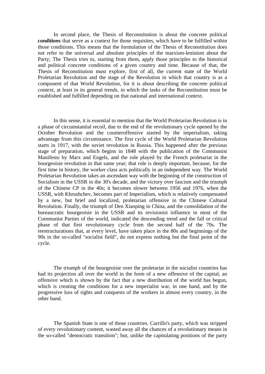In second place, the Thesis of Reconstitution is about the concrete political *conditions* that serve as a context for those requisites, which have to be fulfilled within those conditions. This means that the formulation of the Thesis of Reconstitution does not refer to the universal and absolute principles of the marxism-leninism about the Party; The Thesis tries to, starting from them, apply those principles to the historical and political concrete conditions of a given country and time. Because of that, the Thesis of Reconstitution must explore, first of all, the current state of the World Proletarian Revolution and the stage of the Revolution in which that country is as a component of that World Revolution, for it is about describing the concrete political context, at least in its general trends, in which the tasks of the Reconstitution must be established and fulfilled depending on that national and international context.

 In this sense, it is essential to mention that the World Proletarian Revolution is in a phase of circumstantial recoil, due to the end of the revolutionary cycle opened by the October Revolution and the counteroffensive started by the imperialism, taking advantage from this circumstance. The first cycle of the World Proletarian Revolution starts in 1917, with the soviet revolution in Russia. This happened after the previous stage of preparation, which begins in 1848 with the publication of the Communist Manifesto by Marx and Engels, and the role played by the French proletariat in the bourgeoisie revolution in that same year; that role is deeply important, because, for the first time in history, the worker class acts politically in an independent way. The World Proletarian Revolution takes an ascendant way with the beginning of the construction of Socialism in the USSR in the 30's decade, and the victory over fascism and the triumph of the Chinese CP in the 40s; it becomes slower between 1956 and 1976, when the USSR, with Khrushchev, becomes part of Imperialism, which is relatively compensated by a new, but brief and localized, proletarian offensive in the Chinese Cultural Revolution. Finally, the triumph of Den Xiaoping in China, and the consolidation of the bureaucratic bourgeoisie in the USSR and its revisionist influence in most of the Communist Parties of the world, indicated the descending trend and the fall or critical phase of that first revolutionary cycle from the second half of the 70s. The reestructurations that, at every level, have taken place in the 80s and beginnings of the 90s in the so-called "socialist field", do not express nothing but the final point of the cycle.

 The triumph of the bourgeoisie over the proletariat in the socialist countries has had its projection all over the world in the form of a new offensive of the capital, an offensive which is shown by the fact that a new distribution of the world has begun, which is creating the conditions for a new imperialist war, in one hand, and by the progressive loss of rights and conquests of the workers in almost every country, in the other hand.

 The Spanish State is one of those countries. Carrillo's party, which was stripped of every revolutionary content, wasted away all the chances of a revolutionary means in the so-called "democratic transition"; but, unlike the capitulating positions of the party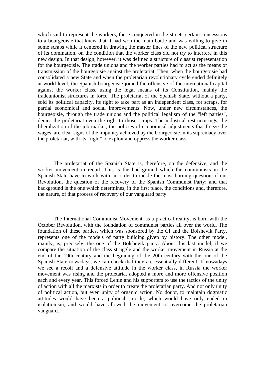which said to represent the workers, these conquered in the streets certain concessions to a bourgeoisie that knew that it had won the main battle and was willing to give in some scraps while it centered in drawing the master lines of the new political structure of its domination, on the condition that the worker class did not try to interfere in this new design. In that design, however, it was defined a structure of classist representation for the bourgeoisie. The trade unions and the worker parties had to act as the means of transmission of the bourgeoisie against the proletariat. Then, when the bourgeoisie had consolidated a new State and when the proletarian revolutionary cycle ended definitely at world level, the Spanish bourgeoisie joined the offensive of the international capital against the worker class, using the legal means of its Constitution, mainly the tradeunionist structures in force. The proletariat of the Spanish State, without a party, sold its political capacity, its right to take part as an independent class, for scraps, for partial economical and social improvements. Now, under new circumstances, the bourgeoisie, through the trade unions and the political legalism of the "left parties", denies the proletariat even the right to those scraps. The industrial restructurings, the liberalization of the job market, the policies of economical adjustments that freeze the wages, are clear signs of the impunity achieved by the bourgeoisie in its supremacy over the proletariat, with its "right" to exploit and oppress the worker class.

 The proletariat of the Spanish State is, therefore, on the defensive, and the worker movement in recoil. This is the background which the communists in the Spanish State have to work with, in order to tackle the most burning question of our Revolution, the question of the recovery of the Spanish Communist Party; and that background is the one which determines, in the first place, the conditions and, therefore, the nature, of that process of recovery of our vanguard party.

 The International Communist Movement, as a practical reality, is born with the October Revolution, with the foundation of communist parties all over the world. The foundation of these parties, which was sponsored by the CI and the Bolshevik Party, represents one of the models of party building given by history. The other model, mainly, is, precisely, the one of the Bolshevik party. About this last model, if we compare the situation of the class struggle and the worker movement in Russia at the end of the 19th century and the beginning of the 20th century with the one of the Spanish State nowadays, we can check that they are essentially different. If nowadays we see a recoil and a defensive attitude in the worker class, in Russia the worker movement was rising and the proletariat adopted a more and more offensive position each and every year. This forced Lenin and his supporters to use the tactics of the unity of action with all the marxists in order to create the proletarian party. And not only unity of political action, but even unity of organic action. No doubt, to maintain dogmatic attitudes would have been a political suicide, which would have only ended in isolationism, and would have allowed the movement to overcome the proletarian vanguard.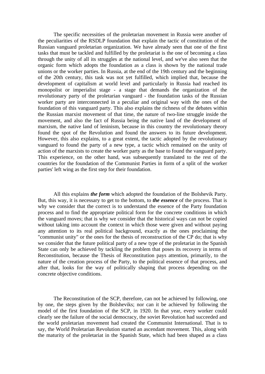The specific necessities of the proletarian movement in Russia were another of the peculiarities of the RSDLP foundation that explain the tactic of constitution of the Russian vanguard proletarian organization. We have already seen that one of the first tasks that must be tackled and fulfilled by the proletariat is the one of becoming a class through the unity of all its struggles at the national level, and we've also seen that the organic form which adopts the foundation as a class is shown by the national trade unions or the worker parties. In Russia, at the end of the 19th century and the beginning of the 20th century, this task was not yet fulfilled, which implied that, because the development of capitalism at world level and particularly in Russia had reached its monopolist or imperialist stage - a stage that demands the organization of the revolutionary party of the proletarian vanguard - the foundation tasks of the Russian worker party are interconnected in a peculiar and original way with the ones of the foundation of this vanguard party. This also explains the richness of the debates within the Russian marxist movement of that time, the nature of two-line struggle inside the movement, and also the fact of Russia being the native land of the development of marxism, the native land of leninism, because in this country the revolutionary theory found the spot of the Revolution and found the answers to its future development. However, this also explains, to a great extent, the tactic adopted by the revolutionary vanguard to found the party of a new type, a tactic which remained on the unity of action of the marxists to create the worker party as the base to found the vanguard party. This experience, on the other hand, was subsequently translated to the rest of the countries for the foundation of the Communist Parties in form of a split of the worker parties' left wing as the first step for their foundation.

 All this explains *the form* which adopted the foundation of the Bolshevik Party. But, this way, it is necessary to get to the bottom, to *the essence* of the process. That is why we consider that the correct is to understand the essence of the Party foundation process and to find the appropriate political form for the concrete conditions in which the vanguard moves; that is why we consider that the historical ways can not be copied without taking into account the context in which those were given and without paying any attention to its real political background, exactly as the ones proclaiming the "communist unity" or the ones for the thesis of reconstruction of the CP do; that is why we consider that the future political party of a new type of the proletariat in the Spanish State can only be achieved by tackling the problem that poses its recovery in terms of Reconstitution, because the Thesis of Reconstitution pays attention, primarily, to the nature of the creation process of the Party, to the political essence of that process, and after that, looks for the way of politically shaping that process depending on the concrete objective conditions.

 The Reconstitution of the SCP, therefore, can not be achieved by following, one by one, the steps given by the Bolsheviks; nor can it be achieved by following the model of the first foundation of the SCP, in 1920. In that year, every worker could clearly see the failure of the social democracy, the soviet Revolution had succeeded and the world proletarian movement had created the Communist International. That is to say, the World Proletarian Revolution started an ascendant movement. This, along with the maturity of the proletariat in the Spanish State, which had been shaped as a class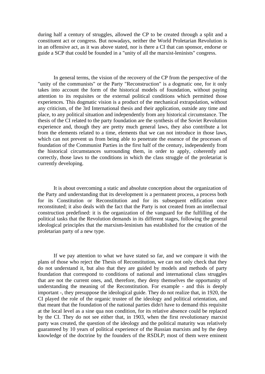during half a century of struggles, allowed the CP to be created through a split and a constituent act or congress. But nowadays, neither the World Proletarian Revolution is in an offensive act, as it was above stated, nor is there a CI that can sponsor, endorse or guide a SCP that could be founded in a "unity of all the marxist-leninists" congress.

 In general terms, the vision of the recovery of the CP from the perspective of the "unity of the communists" or the Party "Reconstruction" is a dogmatic one, for it only takes into account the form of the historical models of foundation, without paying attention to its requisites or the external political conditions which permitted those experiences. This dogmatic vision is a product of the mechanical extrapolation, without any criticism, of the 3rd International thesis and their application, outside any time and place, to any political situation and independently from any historical circumstance. The thesis of the CI related to the party foundation are the synthesis of the Soviet Revolution experience and, though they are pretty much general laws, they also contribute a lot from the elements related to a time, elements that we can not introduce in those laws, which can not prevent us from being able to penetrate the essence of the processes of foundation of the Communist Parties in the first half of the century, independently from the historical circumstances surrounding them, in order to apply, coherently and correctly, those laws to the conditions in which the class struggle of the proletariat is currently developing.

 It is about overcoming a static and absolute conception about the organization of the Party and understanding that its development is a permanent process, a process both for its Constitution or Reconstitution and for its subsequent edification once reconstituted; it also deals with the fact that the Party is not created from an intellectual construction predefined: it is the organization of the vanguard for the fulfilling of the political tasks that the Revolution demands in its different stages, following the general ideological principles that the marxism-leninism has established for the creation of the proletarian party of a new type.

 If we pay attention to what we have stated so far, and we compare it with the plans of those who reject the Thesis of Reconstitution, we can not only check that they do not understand it, but also that they are guided by models and methods of party foundation that correspond to conditions of national and international class struggles that are not the current ones, and, therefore, they deny themselves the opportunity of understanding the meaning of the Reconstitution. For example - and this is deeply important -, they presuppose the ideological guide. They do not realize that, in 1920, the CI played the role of the organic trustee of the ideology and political orientation, and that meant that the foundation of the national parties didn't have to demand this requisite at the local level as a sine qua non condition, for its relative absence could be replaced by the CI. They do not see either that, in 1903, when the first revolutionary marxist party was created, the question of the ideology and the political maturity was relatively guaranteed by 10 years of political experience of the Russian marxists and by the deep knowledge of the doctrine by the founders of the RSDLP; most of them were eminent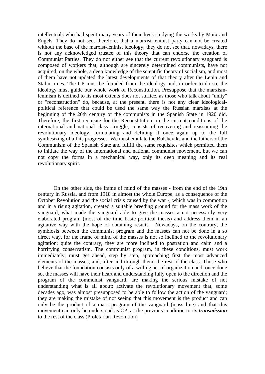intellectuals who had spent many years of their lives studying the works by Marx and Engels. They do not see, therefore, that a marxist-leninist party can not be created without the base of the marxist-leninist ideology; they do not see that, nowadays, there is not any acknowledged trustee of this theory that can endorse the creation of Communist Parties. They do not either see that the current revolutionary vanguard is composed of workers that, although are sincerely determined communists, have not acquired, on the whole, a deep knowledge of the scientific theory of socialism, and most of them have not updated the latest developments of that theory after the Lenin and Stalin times. The CP must be founded from the ideology and, in order to do so, the ideology must guide our whole work of Reconstitution. Presuppose that the marxismleninism is defined to its most extents does not suffice, as those who talk about "unity" or "reconstruction" do, because, at the present, there is not any clear ideologicalpolitical reference that could be used the same way the Russian marxists at the beginning of the 20th century or the communists in the Spanish State in 1920 did. Therefore, the first requisite for the Reconstitution, in the current conditions of the international and national class struggle, consists of recovering and reassuming the revolutionary ideology, formulating and defining it once again up to the full synthesizing of all its progresses. We must emulate the Bolsheviks and the fathers of the Communism of the Spanish State and fulfill the same requisites which permitted them to initiate the way of the international and national communist movement, but we can not copy the forms in a mechanical way, only its deep meaning and its real revolutionary spirit.

 On the other side, the frame of mind of the masses - from the end of the 19th century in Russia, and from 1918 in almost the whole Europe, as a consequence of the October Revolution and the social crisis caused by the war -, which was in commotion and in a rising agitation, created a suitable breeding ground for the mass work of the vanguard, what made the vanguard able to give the masses a not necessarily very elaborated program (most of the time basic political thesis) and address them in an agitative way with the hope of obtaining results. Nowadays, on the contrary, the symbiosis between the communist program and the masses can not be done in a so direct way, for the frame of mind of the masses is not so inclined to the revolutionary agitation; quite the contrary, they are more inclined to postration and calm and a horrifying conservatism. The communist program, in these conditions, must work immediately, must get ahead, step by step, approaching first the most advanced elements of the masses, and, after and through them, the rest of the class. Those who believe that the foundation consists only of a willing act of organization and, once done so, the masses will have their heart and understanding fully open to the direction and the program of the communist vanguard, are making the serious mistake of not understanding what is all about: activate the revolutionary movement that, some decades ago, was almost presupposed to be able to follow the action of the vanguard; they are making the mistake of not seeing that this movement is the product and can only be the product of a mass program of the vanguard (mass line) and that this movement can only be understood as CP, as the previous condition to its *transmission* to the rest of the class (Proletarian Revolution)